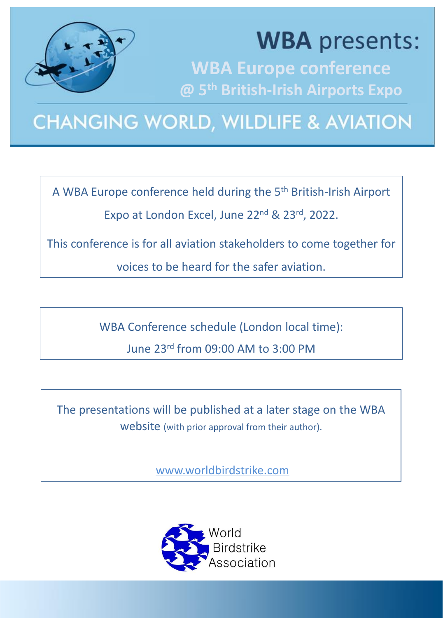

# **WBA** presents:

**WBA Europe conference @ 5th British-Irish Airports Expo**

## **CHANGING WORLD, WILDLIFE & AVIATION**

A WBA Europe conference held during the 5th British-Irish Airport Expo at London Excel, June 22<sup>nd</sup> & 23<sup>rd</sup>, 2022.

This conference is for all aviation stakeholders to come together for

voices to be heard for the safer aviation.

WBA Conference schedule (London local time):

June 23rd from 09:00 AM to 3:00 PM

The presentations will be published at a later stage on the WBA website (with prior approval from their author).

[www.worldbirdstrike.com](http://www.worldbirdstrike.com/)

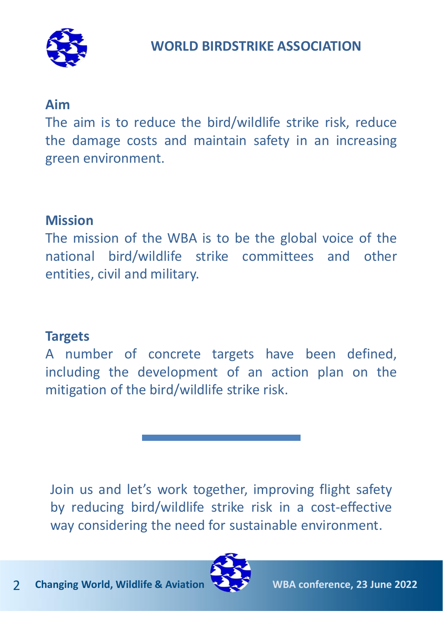

#### **Aim**

The aim is to reduce the bird/wildlife strike risk, reduce the damage costs and maintain safety in an increasing green environment.

### **Mission**

The mission of the WBA is to be the global voice of the national bird/wildlife strike committees and other entities, civil and military.

#### **Targets**

A number of concrete targets have been defined, including the development of an action plan on the mitigation of the bird/wildlife strike risk.

Join us and let's work together, improving flight safety by reducing bird/wildlife strike risk in a cost-effective way considering the need for sustainable environment.

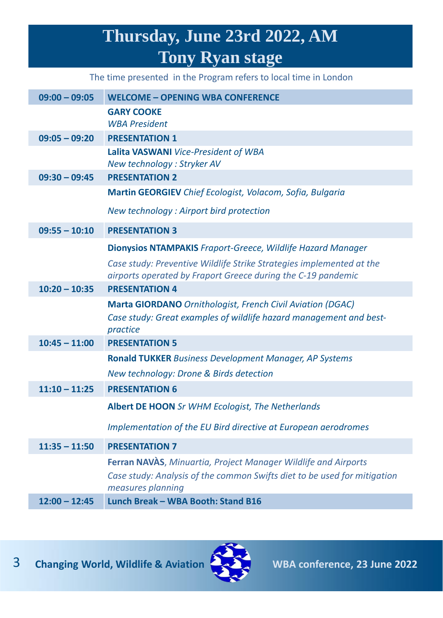### **Thursday, June 23rd 2022, AM Tony Ryan stage**

The time presented in the Program refers to local time in London

| $09:00 - 09:05$ | <b>WELCOME - OPENING WBA CONFERENCE</b>                                                                                                             |
|-----------------|-----------------------------------------------------------------------------------------------------------------------------------------------------|
|                 | <b>GARY COOKE</b>                                                                                                                                   |
|                 | <b>WBA President</b>                                                                                                                                |
| $09:05 - 09:20$ | <b>PRESENTATION 1</b>                                                                                                                               |
|                 | Lalita VASWANI Vice-President of WBA<br>New technology: Stryker AV                                                                                  |
| $09:30 - 09:45$ | <b>PRESENTATION 2</b>                                                                                                                               |
|                 | Martin GEORGIEV Chief Ecologist, Volacom, Sofia, Bulgaria                                                                                           |
|                 | New technology: Airport bird protection                                                                                                             |
| $09:55 - 10:10$ | <b>PRESENTATION 3</b>                                                                                                                               |
|                 | <b>Dionysios NTAMPAKIS</b> Fraport-Greece, Wildlife Hazard Manager                                                                                  |
|                 | Case study: Preventive Wildlife Strike Strategies implemented at the<br>airports operated by Fraport Greece during the C-19 pandemic                |
| $10:20 - 10:35$ | <b>PRESENTATION 4</b>                                                                                                                               |
|                 | <b>Marta GIORDANO</b> Ornithologist, French Civil Aviation (DGAC)<br>Case study: Great examples of wildlife hazard management and best-<br>practice |
| $10:45 - 11:00$ | <b>PRESENTATION 5</b>                                                                                                                               |
|                 | <b>Ronald TUKKER</b> Business Development Manager, AP Systems                                                                                       |
|                 | New technology: Drone & Birds detection                                                                                                             |
| $11:10 - 11:25$ | <b>PRESENTATION 6</b>                                                                                                                               |
|                 | <b>Albert DE HOON</b> Sr WHM Ecologist, The Netherlands                                                                                             |
|                 | Implementation of the EU Bird directive at European aerodromes                                                                                      |
| $11:35 - 11:50$ | <b>PRESENTATION 7</b>                                                                                                                               |
|                 | Ferran NAVAS, Minuartia, Project Manager Wildlife and Airports                                                                                      |
|                 | Case study: Analysis of the common Swifts diet to be used for mitigation<br>measures planning                                                       |
| $12:00 - 12:45$ | Lunch Break - WBA Booth: Stand B16                                                                                                                  |

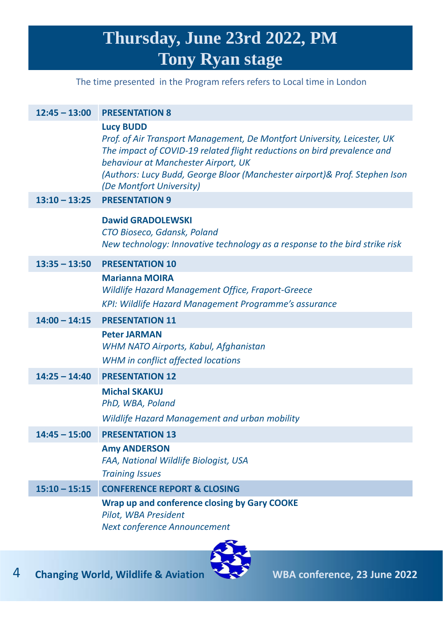### **Thursday, June 23rd 2022, PM Tony Ryan stage**

The time presented in the Program refers refers to Local time in London

| $12:45 - 13:00$ | <b>PRESENTATION 8</b>                                                                                                                                                                                                                                                                                                    |
|-----------------|--------------------------------------------------------------------------------------------------------------------------------------------------------------------------------------------------------------------------------------------------------------------------------------------------------------------------|
|                 | <b>Lucy BUDD</b><br>Prof. of Air Transport Management, De Montfort University, Leicester, UK<br>The impact of COVID-19 related flight reductions on bird prevalence and<br>behaviour at Manchester Airport, UK<br>(Authors: Lucy Budd, George Bloor (Manchester airport)& Prof. Stephen Ison<br>(De Montfort University) |
| $13:10 - 13:25$ | <b>PRESENTATION 9</b>                                                                                                                                                                                                                                                                                                    |
|                 | <b>Dawid GRADOLEWSKI</b><br>CTO Bioseco, Gdansk, Poland<br>New technology: Innovative technology as a response to the bird strike risk                                                                                                                                                                                   |
| $13:35 - 13:50$ | <b>PRESENTATION 10</b>                                                                                                                                                                                                                                                                                                   |
|                 | <b>Marianna MOIRA</b><br>Wildlife Hazard Management Office, Fraport-Greece<br>KPI: Wildlife Hazard Management Programme's assurance                                                                                                                                                                                      |
| $14:00 - 14:15$ | <b>PRESENTATION 11</b>                                                                                                                                                                                                                                                                                                   |
|                 | <b>Peter JARMAN</b><br><b>WHM NATO Airports, Kabul, Afghanistan</b><br><b>WHM</b> in conflict affected locations                                                                                                                                                                                                         |
| $14:25 - 14:40$ | <b>PRESENTATION 12</b>                                                                                                                                                                                                                                                                                                   |
|                 | <b>Michal SKAKUJ</b><br>PhD, WBA, Poland<br>Wildlife Hazard Management and urban mobility                                                                                                                                                                                                                                |
| $14:45 - 15:00$ | <b>PRESENTATION 13</b>                                                                                                                                                                                                                                                                                                   |
|                 | <b>Amy ANDERSON</b><br>FAA, National Wildlife Biologist, USA<br><b>Training Issues</b>                                                                                                                                                                                                                                   |
| $15:10 - 15:15$ | <b>CONFERENCE REPORT &amp; CLOSING</b>                                                                                                                                                                                                                                                                                   |
|                 | <b>Wrap up and conference closing by Gary COOKE</b><br>Pilot, WBA President<br><b>Next conference Announcement</b>                                                                                                                                                                                                       |